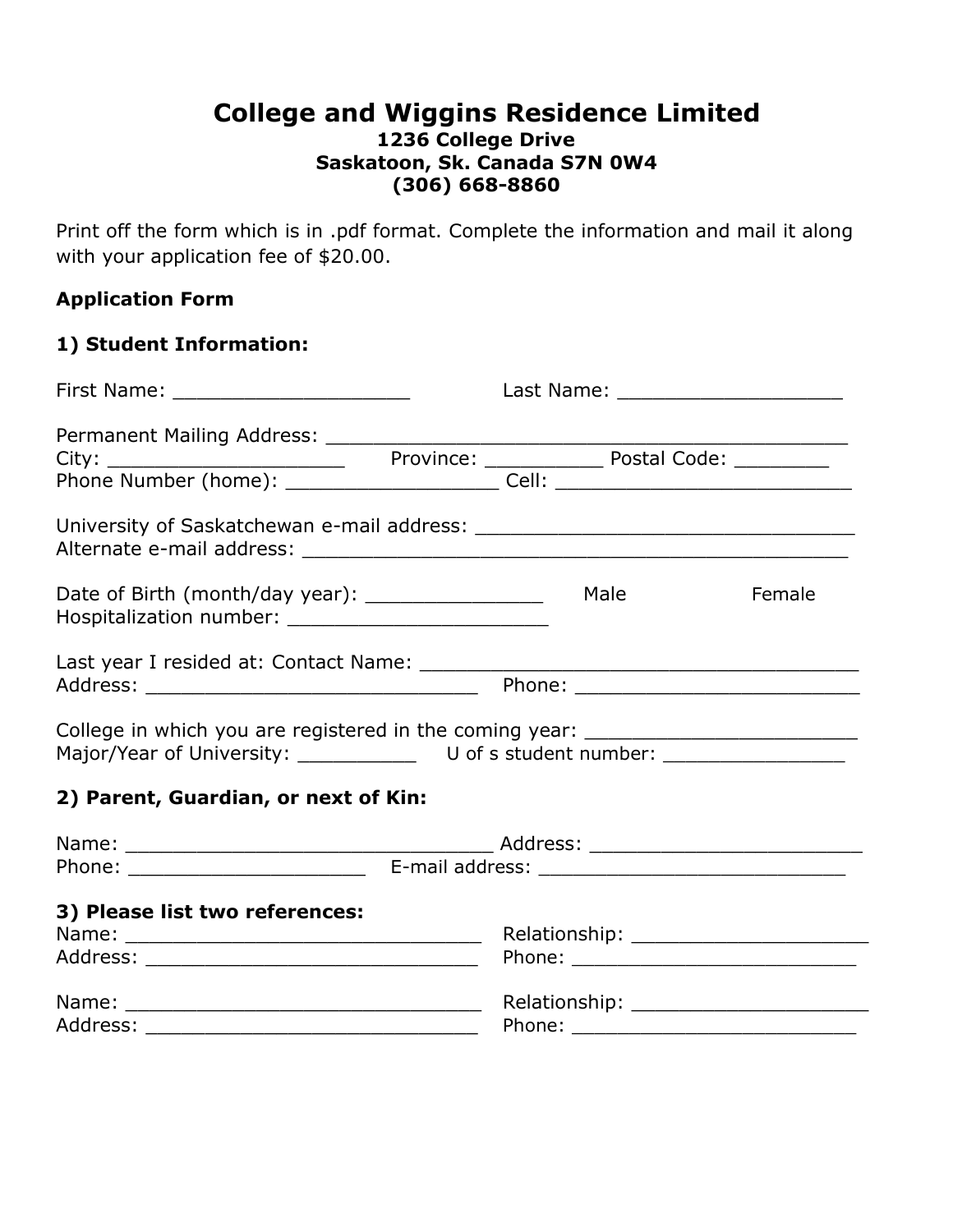### **College and Wiggins Residence Limited 1236 College Drive Saskatoon, Sk. Canada S7N 0W4 (306) 668-8860**

Print off the form which is in .pdf format. Complete the information and mail it along with your application fee of \$20.00.

#### **Application Form**

#### **1) Student Information:**

| <u> 1986 - Johann Barn, mars eta bainar eta </u><br>College in which you are registered in the coming year: ________________________<br>Major/Year of University: ______________ U of s student number: ________________<br>2) Parent, Guardian, or next of Kin:<br>3) Please list two references: |  | Last Name: ________________________ |        |  |  |
|----------------------------------------------------------------------------------------------------------------------------------------------------------------------------------------------------------------------------------------------------------------------------------------------------|--|-------------------------------------|--------|--|--|
|                                                                                                                                                                                                                                                                                                    |  |                                     |        |  |  |
|                                                                                                                                                                                                                                                                                                    |  |                                     |        |  |  |
|                                                                                                                                                                                                                                                                                                    |  |                                     |        |  |  |
|                                                                                                                                                                                                                                                                                                    |  |                                     |        |  |  |
|                                                                                                                                                                                                                                                                                                    |  |                                     | Female |  |  |
|                                                                                                                                                                                                                                                                                                    |  |                                     |        |  |  |
|                                                                                                                                                                                                                                                                                                    |  |                                     |        |  |  |
|                                                                                                                                                                                                                                                                                                    |  |                                     |        |  |  |
|                                                                                                                                                                                                                                                                                                    |  |                                     |        |  |  |
|                                                                                                                                                                                                                                                                                                    |  |                                     |        |  |  |
|                                                                                                                                                                                                                                                                                                    |  |                                     |        |  |  |
|                                                                                                                                                                                                                                                                                                    |  |                                     |        |  |  |
| Phone: ___________________________________                                                                                                                                                                                                                                                         |  |                                     |        |  |  |
|                                                                                                                                                                                                                                                                                                    |  |                                     |        |  |  |
|                                                                                                                                                                                                                                                                                                    |  |                                     |        |  |  |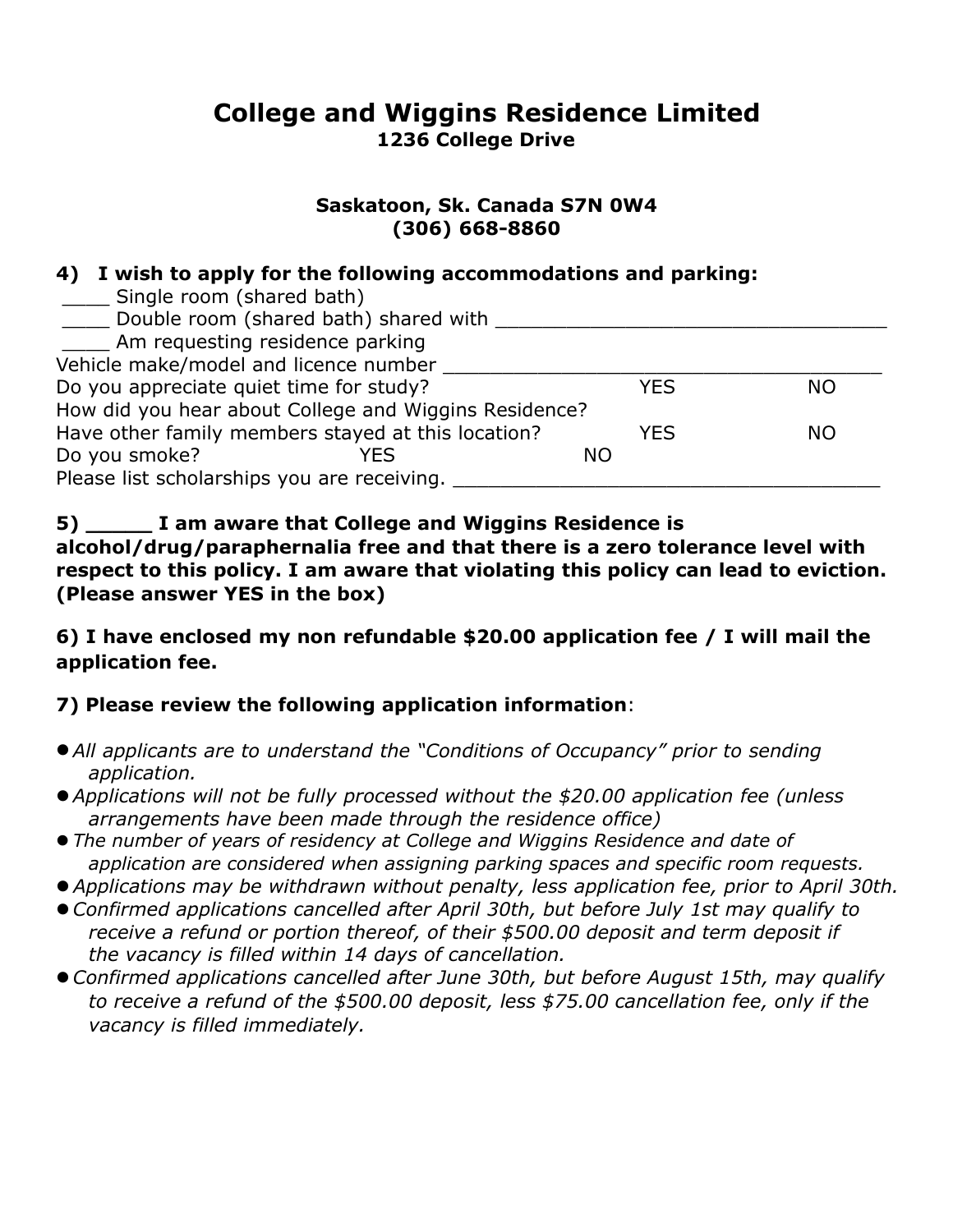# **College and Wiggins Residence Limited 1236 College Drive**

#### **Saskatoon, Sk. Canada S7N 0W4 (306) 668-8860**

# **4) I wish to apply for the following accommodations and parking:**

| Single room (shared bath)                             |            |           |
|-------------------------------------------------------|------------|-----------|
| Double room (shared bath) shared with                 |            |           |
| Am requesting residence parking                       |            |           |
| Vehicle make/model and licence number                 |            |           |
| Do you appreciate quiet time for study?               | YES        | <b>NO</b> |
| How did you hear about College and Wiggins Residence? |            |           |
| Have other family members stayed at this location?    | <b>YES</b> | <b>NO</b> |
| Do you smoke?<br>YFS                                  | NO.        |           |
| Please list scholarships you are receiving.           |            |           |
|                                                       |            |           |

#### **5) \_\_\_\_\_ I am aware that College and Wiggins Residence is alcohol/drug/paraphernalia free and that there is a zero tolerance level with respect to this policy. I am aware that violating this policy can lead to eviction. (Please answer YES in the box)**

# **6) I have enclosed my non refundable \$20.00 application fee / I will mail the application fee.**

# **7) Please review the following application information**:

- *All applicants are to understand the "Conditions of Occupancy" prior to sending application.*
- *Applications will not be fully processed without the \$20.00 application fee (unless arrangements have been made through the residence office)*
- **•** The number of years of residency at College and Wiggins Residence and date of *application are considered when assigning parking spaces and specific room requests.*
- *Applications may be withdrawn without penalty, less application fee, prior to April 30th.*
- *Confirmed applications cancelled after April 30th, but before July 1st may qualify to receive a refund or portion thereof, of their \$500.00 deposit and term deposit if the vacancy is filled within 14 days of cancellation.*
- *Confirmed applications cancelled after June 30th, but before August15th, may qualify to receive a refund of the \$500.00 deposit, less \$75.00 cancellation fee, only if the vacancy is filled immediately.*